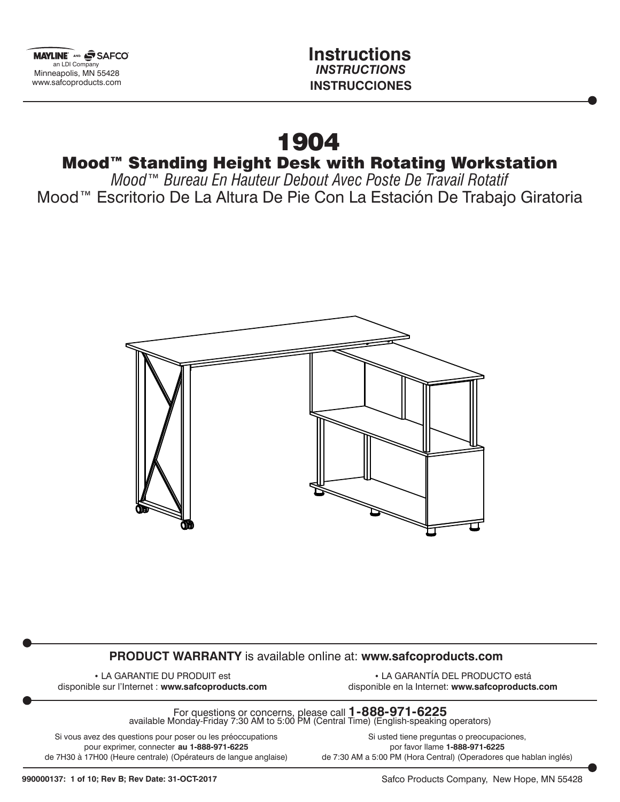

## 1904

## Mood™ Standing Height Desk with Rotating Workstation

*Mood™ Bureau En Hauteur Debout Avec Poste De Travail Rotatif* Mood™ Escritorio De La Altura De Pie Con La Estación De Trabajo Giratoria



## **PRODUCT WARRANTY** is available online at: **www.safcoproducts.com**

• LA GARANTIE DU PRODUIT est disponible sur l'Internet : **www.safcoproducts.com**

• LA GARANTÍA DEL PRODUCTO está disponible en la Internet: **www.safcoproducts.com**

For questions or concerns, please call **1-888-971-6225** available Monday-Friday 7:30 AM to 5:00 PM (Central Time) (English-speaking operators)

Si vous avez des questions pour poser ou les préoccupations pour exprimer, connecter **au 1-888-971-6225** de 7H30 à 17H00 (Heure centrale) (Opérateurs de langue anglaise)

Si usted tiene preguntas o preocupaciones, por favor llame **1-888-971-6225** de 7:30 AM a 5:00 PM (Hora Central) (Operadores que hablan inglés)

Safco Products Company, New Hope, MN 55428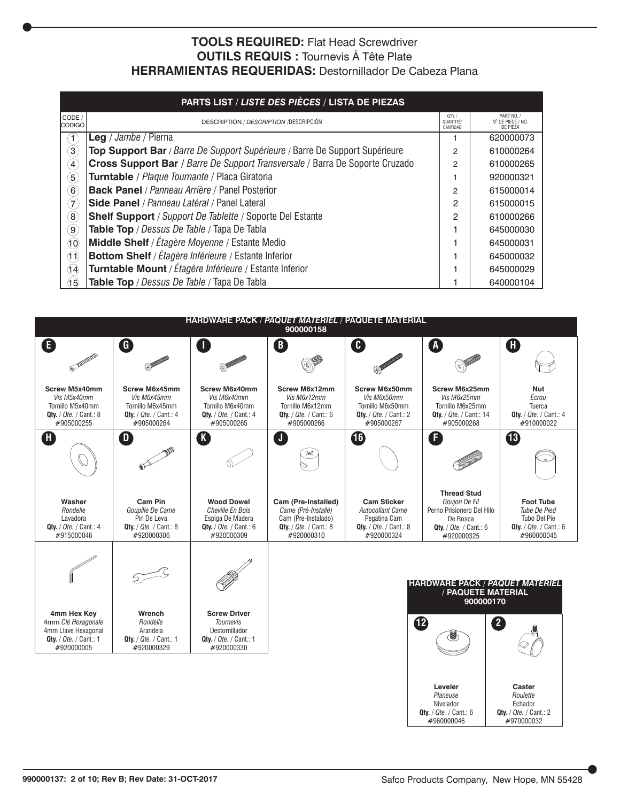## **TOOLS REQUIRED:** Flat Head Screwdriver **OUTILS REQUIS :** Tournevis À Tête Plate **HERRAMIENTAS REQUERIDAS:** Destornillador De Cabeza Plana

| PARTS LIST / LISTE DES PIÈCES / LISTA DE PIEZAS |                                                                              |                               |                                          |
|-------------------------------------------------|------------------------------------------------------------------------------|-------------------------------|------------------------------------------|
| CODE<br><b>CODIGO</b>                           | <b>DESCRIPTION / DESCRIPTION /DESCRIPCIÓN</b>                                | QTY.<br>QUANTITÉ/<br>CANTIDAD | PART NO.<br>Nº DE PIECE / NO<br>DE PIFZA |
| $\mathbf{1}$                                    | <b>Leg</b> / <i>Jambe</i> / Pierna                                           |                               | 620000073                                |
| $\bigcirc$                                      | Top Support Bar / Barre De Support Supérieure / Barre De Support Supérieure  | 2                             | 610000264                                |
| $\left( 4\right)$                               | Cross Support Bar / Barre De Support Transversale / Barra De Soporte Cruzado | 2                             | 610000265                                |
| $\bigcirc$                                      | Turntable / Plaque Tournante / Placa Giratoria                               |                               | 920000321                                |
| $\circledast$                                   | <b>Back Panel / Panneau Arrière / Panel Posterior</b>                        | 2                             | 615000014                                |
| $\widehat{\mathcal{J}}$                         | Side Panel / Panneau Latéral / Panel Lateral                                 | 2                             | 615000015                                |
| $\binom{8}{ }$                                  | Shelf Support / Support De Tablette / Soporte Del Estante                    | 2                             | 610000266                                |
| $\large \textcircled{\scriptsize s}$            | Table Top / Dessus De Table / Tapa De Tabla                                  |                               | 645000030                                |
| $\Theta$                                        | <b>Middle Shelf</b> / Étagère Moyenne / Estante Medio                        |                               | 645000031                                |
| $\textcircled{\textsf{1}}$                      | Bottom Shelf / Étagère Inférieure / Estante Inferior                         |                               | 645000032                                |
| 14)                                             | <b>Turntable Mount</b> / Étagère Inférieure / Estante Inferior               |                               | 645000029                                |
| (15)                                            | Table Top / Dessus De Table / Tapa De Tabla                                  |                               | 640000104                                |

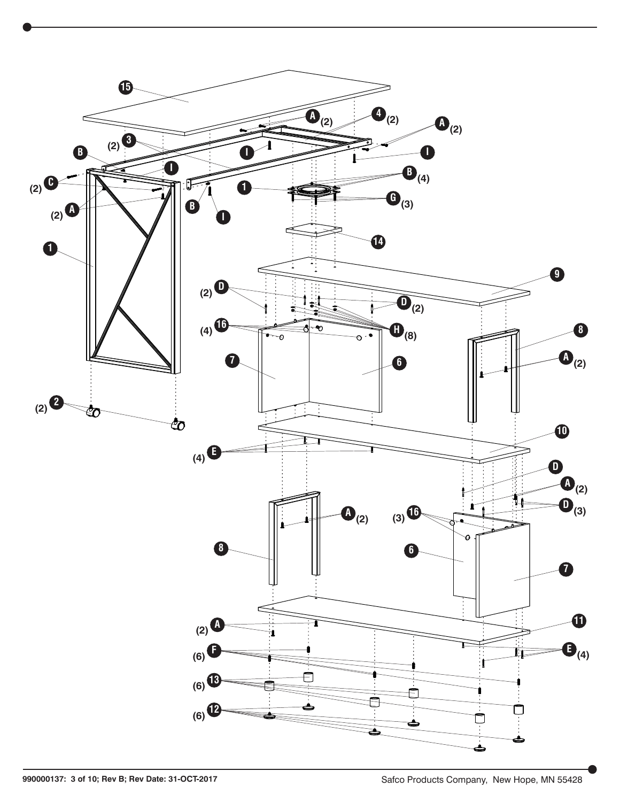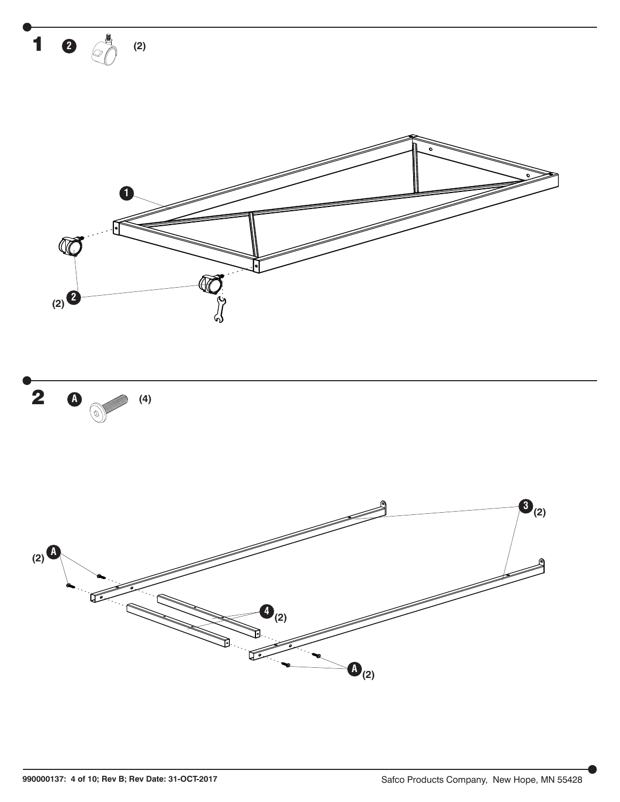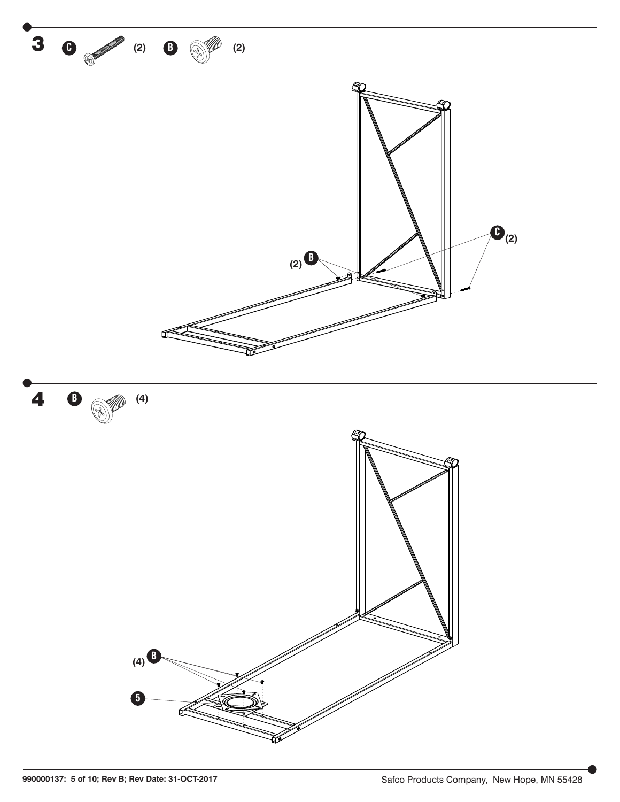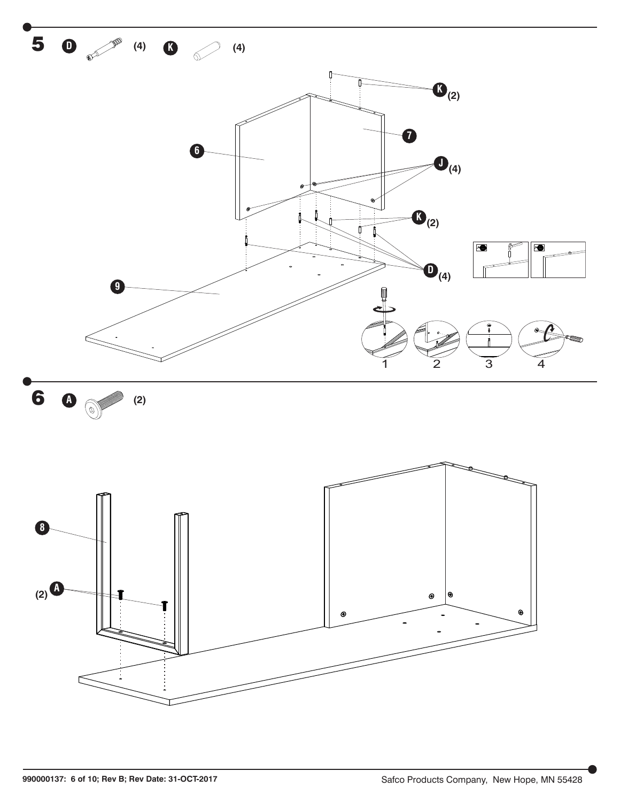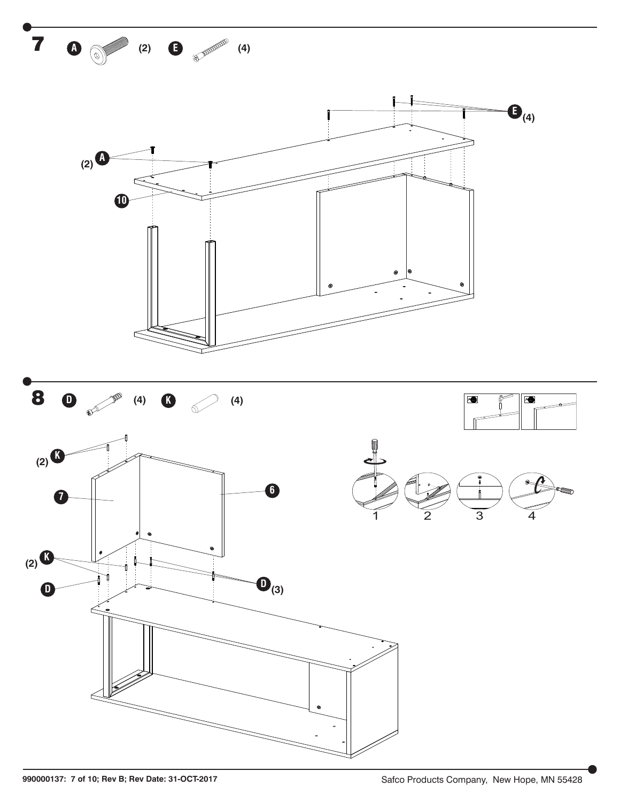

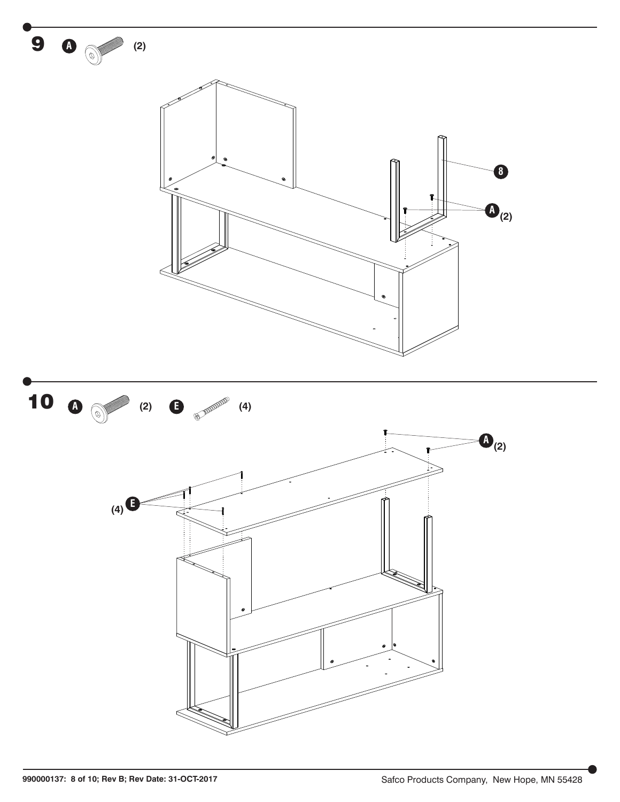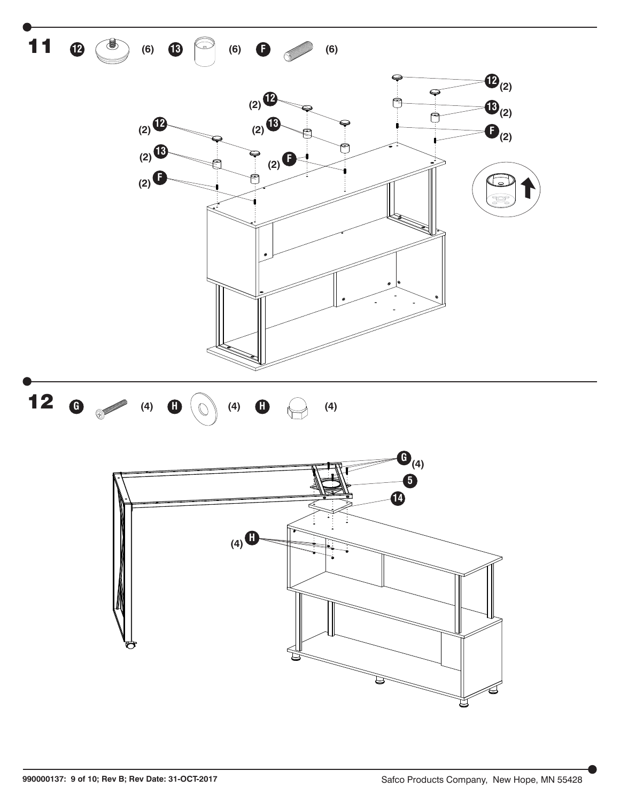